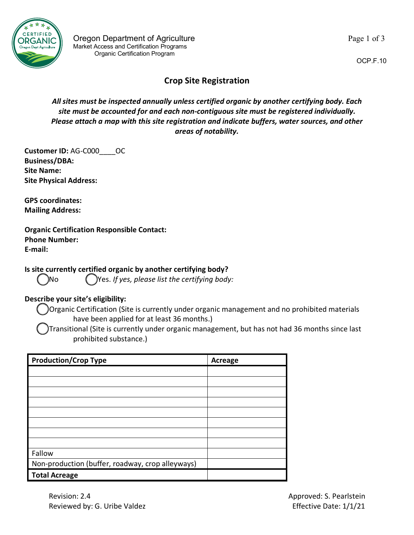

OCP.F.10

## **Crop Site Registration**

*All sites must be inspected annually unless certified organic by another certifying body. Each site must be accounted for and each non-contiguous site must be registered individually. Please attach a map with this site registration and indicate buffers, water sources, and other areas of notability.* 

**Customer ID:** AG-C000\_\_\_\_OC **Business/DBA: Site Name: Site Physical Address:**

**GPS coordinates: Mailing Address:**

## **Organic Certification Responsible Contact:**

**Phone Number: E-mail:**

**Is site currently certified organic by another certifying body?** 

No Yes. *If yes, please list the certifying body:* 

## **Describe your site's eligibility:**

Organic Certification (Site is currently under organic management and no prohibited materials have been applied for at least 36 months.)

Transitional (Site is currently under organic management, but has not had 36 months since last prohibited substance.)

| <b>Production/Crop Type</b>                      | <b>Acreage</b> |
|--------------------------------------------------|----------------|
|                                                  |                |
|                                                  |                |
|                                                  |                |
|                                                  |                |
|                                                  |                |
|                                                  |                |
|                                                  |                |
|                                                  |                |
| Fallow                                           |                |
| Non-production (buffer, roadway, crop alleyways) |                |
| <b>Total Acreage</b>                             |                |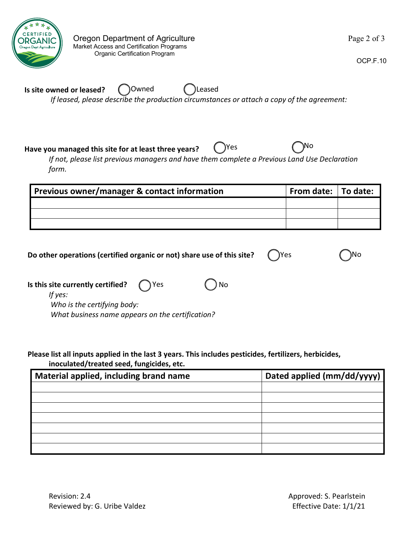

)No

OCP.F.10

**Is site owned or leased?** *If leased, please describe the production circumstances or attach a copy of the agreement:* Owned (Coleased

**Have you managed this site for at least three years?**

*If not, please list previous managers and have them complete a Previous Land Use Declaration form.*

Yes  $\bigcap^{\text{No}}$ 

| Previous owner/manager & contact information | From date:   To date: |  |
|----------------------------------------------|-----------------------|--|
|                                              |                       |  |
|                                              |                       |  |
|                                              |                       |  |

| Do other operations (certified organic or not) share use of this site? |  | $\bigcap$ Yes |
|------------------------------------------------------------------------|--|---------------|
|------------------------------------------------------------------------|--|---------------|

| Is this site currently certified? $\bigcap$ Yes  | $()$ No |
|--------------------------------------------------|---------|
| If yes:                                          |         |
| Who is the certifying body:                      |         |
| What business name appears on the certification? |         |

**Please list all inputs applied in the last 3 years. This includes pesticides, fertilizers, herbicides, inoculated/treated seed, fungicides, etc.**

| Material applied, including brand name | Dated applied (mm/dd/yyyy) |
|----------------------------------------|----------------------------|
|                                        |                            |
|                                        |                            |
|                                        |                            |
|                                        |                            |
|                                        |                            |
|                                        |                            |
|                                        |                            |